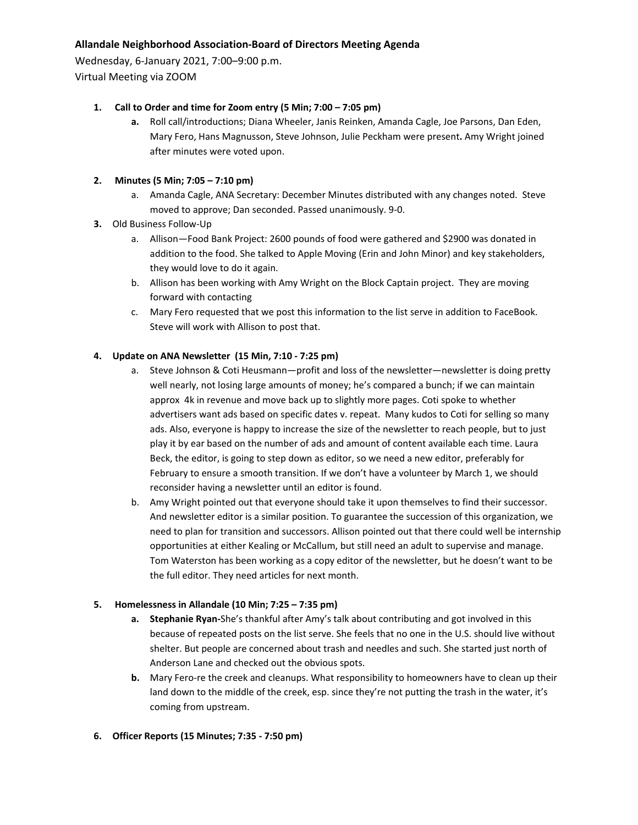# **Allandale Neighborhood Association‐Board of Directors Meeting Agenda**

Wednesday, 6‐January 2021, 7:00–9:00 p.m.

Virtual Meeting via ZOOM

### **1. Call to Order and time for Zoom entry (5 Min; 7:00 – 7:05 pm)**

**a.** Roll call/introductions; Diana Wheeler, Janis Reinken, Amanda Cagle, Joe Parsons, Dan Eden, Mary Fero, Hans Magnusson, Steve Johnson, Julie Peckham were present**.** Amy Wright joined after minutes were voted upon.

# **2. Minutes (5 Min; 7:05 – 7:10 pm)**

- a. Amanda Cagle, ANA Secretary: December Minutes distributed with any changes noted. Steve moved to approve; Dan seconded. Passed unanimously. 9‐0.
- **3.** Old Business Follow‐Up
	- a. Allison—Food Bank Project: 2600 pounds of food were gathered and \$2900 was donated in addition to the food. She talked to Apple Moving (Erin and John Minor) and key stakeholders, they would love to do it again.
	- b. Allison has been working with Amy Wright on the Block Captain project. They are moving forward with contacting
	- c. Mary Fero requested that we post this information to the list serve in addition to FaceBook. Steve will work with Allison to post that.

### **4. Update on ANA Newsletter (15 Min, 7:10 ‐ 7:25 pm)**

- a. Steve Johnson & Coti Heusmann—profit and loss of the newsletter—newsletter is doing pretty well nearly, not losing large amounts of money; he's compared a bunch; if we can maintain approx 4k in revenue and move back up to slightly more pages. Coti spoke to whether advertisers want ads based on specific dates v. repeat. Many kudos to Coti for selling so many ads. Also, everyone is happy to increase the size of the newsletter to reach people, but to just play it by ear based on the number of ads and amount of content available each time. Laura Beck, the editor, is going to step down as editor, so we need a new editor, preferably for February to ensure a smooth transition. If we don't have a volunteer by March 1, we should reconsider having a newsletter until an editor is found.
- b. Amy Wright pointed out that everyone should take it upon themselves to find their successor. And newsletter editor is a similar position. To guarantee the succession of this organization, we need to plan for transition and successors. Allison pointed out that there could well be internship opportunities at either Kealing or McCallum, but still need an adult to supervise and manage. Tom Waterston has been working as a copy editor of the newsletter, but he doesn't want to be the full editor. They need articles for next month.

#### **5. Homelessness in Allandale (10 Min; 7:25 – 7:35 pm)**

- **a. Stephanie Ryan‐**She's thankful after Amy's talk about contributing and got involved in this because of repeated posts on the list serve. She feels that no one in the U.S. should live without shelter. But people are concerned about trash and needles and such. She started just north of Anderson Lane and checked out the obvious spots.
- **b.** Mary Fero-re the creek and cleanups. What responsibility to homeowners have to clean up their land down to the middle of the creek, esp. since they're not putting the trash in the water, it's coming from upstream.
- **6. Officer Reports (15 Minutes; 7:35 ‐ 7:50 pm)**